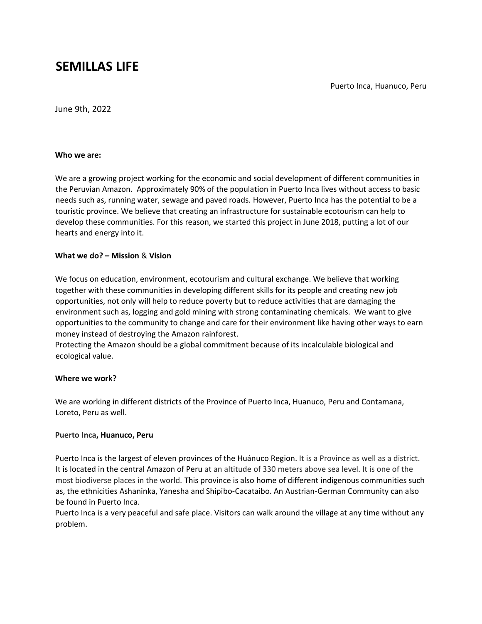# **SEMILLAS LIFE**

Puerto Inca, Huanuco, Peru

June 9th, 2022

#### **Who we are:**

We are a growing project working for the economic and social development of different communities in the Peruvian Amazon. Approximately 90% of the population in Puerto Inca lives without access to basic needs such as, running water, sewage and paved roads. However, Puerto Inca has the potential to be a touristic province. We believe that creating an infrastructure for sustainable ecotourism can help to develop these communities. For this reason, we started this project in June 2018, putting a lot of our hearts and energy into it.

### **What we do? – Mission** & **Vision**

We focus on education, environment, ecotourism and cultural exchange. We believe that working together with these communities in developing different skills for its people and creating new job opportunities, not only will help to reduce poverty but to reduce activities that are damaging the environment such as, logging and gold mining with strong contaminating chemicals. We want to give opportunities to the community to change and care for their environment like having other ways to earn money instead of destroying the Amazon rainforest.

Protecting the Amazon should be a global commitment because of its incalculable biological and ecological value.

### **Where we work?**

We are working in different districts of the Province of Puerto Inca, Huanuco, Peru and Contamana, Loreto, Peru as well.

### **Puerto Inca, Huanuco, Peru**

Puerto Inca is the largest of eleven [provinces](https://en.wikipedia.org/wiki/Provinces_of_Peru) [o](https://en.wikipedia.org/wiki/Provinces_of_Peru)f th[e Huánuco Region.](https://en.wikipedia.org/wiki/Hu%C3%A1nuco_Region) It is a Province as well as a district. It is located in the central Amazon of Peru at an altitude of 330 meters above sea level. It is one of the most biodiverse places in the world. This province is also home of different indigenous communities such as, the ethnicities Ashaninka, Yanesha and Shipibo-Cacataibo. An Austrian-German Community can also be found in Puerto Inca.

Puerto Inca is a very peaceful and safe place. Visitors can walk around the village at any time without any problem.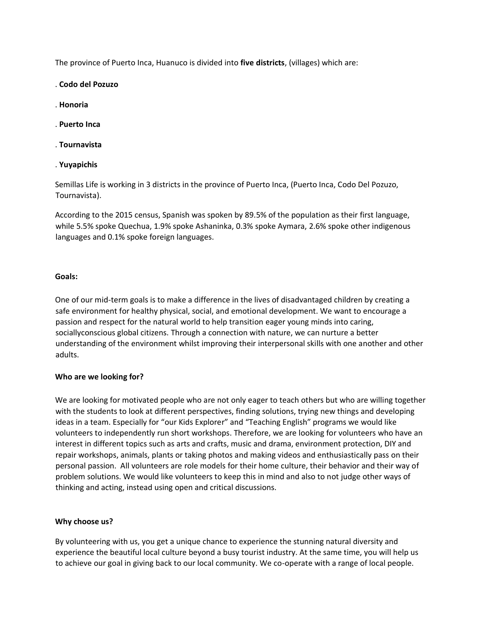The province of Puerto Inca, Huanuco is divided into **five districts**, (villages) which are:

- . **Codo del Pozuzo**
- . **Honoria**
- . **Puerto Inca**
- . **Tournavista**
- . **Yuyapichis**

Semillas Life is working in 3 districts in the province of Puerto Inca, (Puerto Inca, Codo Del Pozuzo, Tournavista).

According to the 2015 census, Spanish was spoken by 89.5% of the population as their first language, while 5.5% spoke Quechua, 1.9% spoke Ashaninka, 0.3% spoke Aymara, 2.6% spoke other indigenous languages and 0.1% spoke foreign languages.

#### **Goals:**

One of our mid-term goals is to make a difference in the lives of disadvantaged children by creating a safe environment for healthy physical, social, and emotional development. We want to encourage a passion and respect for the natural world to help transition eager young minds into caring, sociallyconscious global citizens. Through a connection with nature, we can nurture a better understanding of the environment whilst improving their interpersonal skills with one another and other adults.

### **Who are we looking for?**

We are looking for motivated people who are not only eager to teach others but who are willing together with the students to look at different perspectives, finding solutions, trying new things and developing ideas in a team. Especially for "our Kids Explorer" and "Teaching English" programs we would like volunteers to independently run short workshops. Therefore, we are looking for volunteers who have an interest in different topics such as arts and crafts, music and drama, environment protection, DIY and repair workshops, animals, plants or taking photos and making videos and enthusiastically pass on their personal passion. All volunteers are role models for their home culture, their behavior and their way of problem solutions. We would like volunteers to keep this in mind and also to not judge other ways of thinking and acting, instead using open and critical discussions.

### **Why choose us?**

By volunteering with us, you get a unique chance to experience the stunning natural diversity and experience the beautiful local culture beyond a busy tourist industry. At the same time, you will help us to achieve our goal in giving back to our local community. We co-operate with a range of local people.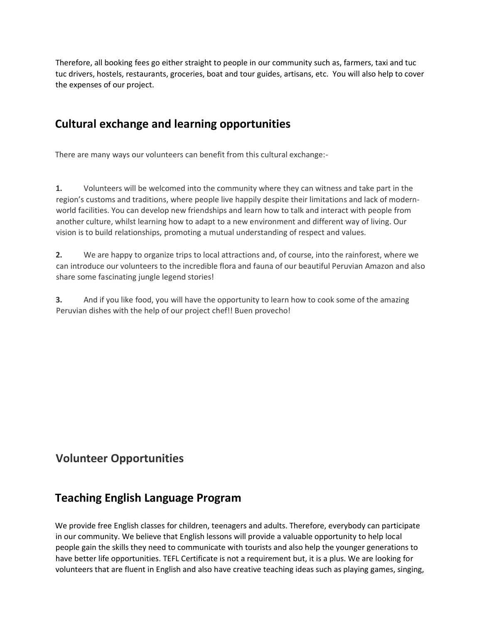Therefore, all booking fees go either straight to people in our community such as, farmers, taxi and tuc tuc drivers, hostels, restaurants, groceries, boat and tour guides, artisans, etc. You will also help to cover the expenses of our project.

# **Cultural exchange and learning opportunities**

There are many ways our volunteers can benefit from this cultural exchange:-

**1.** Volunteers will be welcomed into the community where they can witness and take part in the region's customs and traditions, where people live happily despite their limitations and lack of modernworld facilities. You can develop new friendships and learn how to talk and interact with people from another culture, whilst learning how to adapt to a new environment and different way of living. Our vision is to build relationships, promoting a mutual understanding of respect and values.

**2.** We are happy to organize trips to local attractions and, of course, into the rainforest, where we can introduce our volunteers to the incredible flora and fauna of our beautiful Peruvian Amazon and also share some fascinating jungle legend stories!

**3.** And if you like food, you will have the opportunity to learn how to cook some of the amazing Peruvian dishes with the help of our project chef!! Buen provecho!

# **Volunteer Opportunities**

# **Teaching English Language Program**

We provide free English classes for children, teenagers and adults. Therefore, everybody can participate in our community. We believe that English lessons will provide a valuable opportunity to help local people gain the skills they need to communicate with tourists and also help the younger generations to have better life opportunities. TEFL Certificate is not a requirement but, it is a plus. We are looking for volunteers that are fluent in English and also have creative teaching ideas such as playing games, singing,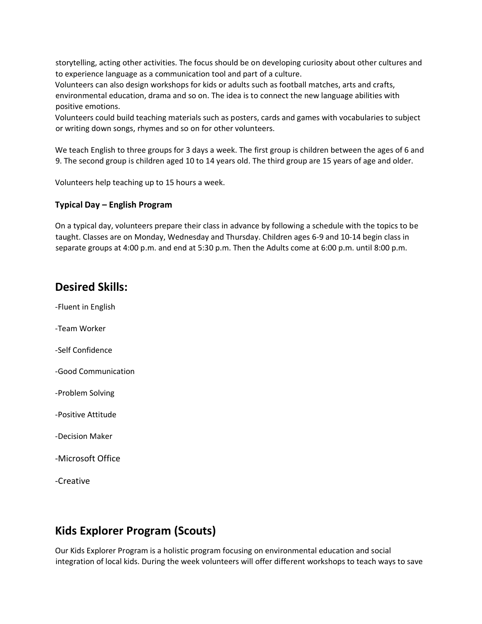storytelling, acting other activities. The focus should be on developing curiosity about other cultures and to experience language as a communication tool and part of a culture.

Volunteers can also design workshops for kids or adults such as football matches, arts and crafts, environmental education, drama and so on. The idea is to connect the new language abilities with positive emotions.

Volunteers could build teaching materials such as posters, cards and games with vocabularies to subject or writing down songs, rhymes and so on for other volunteers.

We teach English to three groups for 3 days a week. The first group is children between the ages of 6 and 9. The second group is children aged 10 to 14 years old. The third group are 15 years of age and older.

Volunteers help teaching up to 15 hours a week.

### **Typical Day – English Program**

On a typical day, volunteers prepare their class in advance by following a schedule with the topics to be taught. Classes are on Monday, Wednesday and Thursday. Children ages 6-9 and 10-14 begin class in separate groups at 4:00 p.m. and end at 5:30 p.m. Then the Adults come at 6:00 p.m. until 8:00 p.m.

## **Desired Skills:**

- -Fluent in English
- -Team Worker
- -Self Confidence
- -Good Communication
- -Problem Solving
- -Positive Attitude
- -Decision Maker
- -Microsoft Office
- -Creative

# **Kids Explorer Program (Scouts)**

Our Kids Explorer Program is a holistic program focusing on environmental education and social integration of local kids. During the week volunteers will offer different workshops to teach ways to save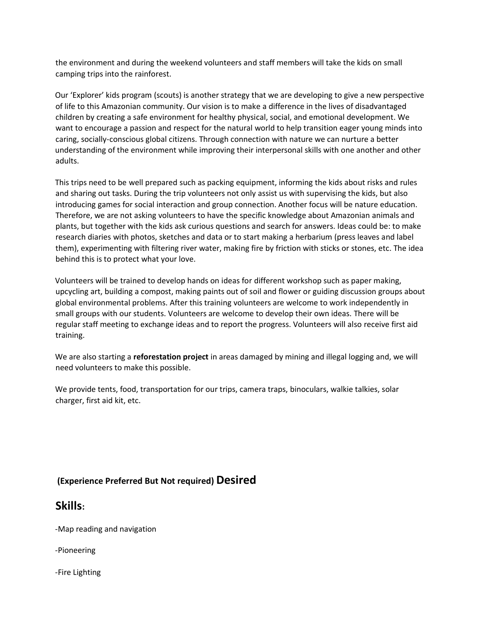the environment and during the weekend volunteers and staff members will take the kids on small camping trips into the rainforest.

Our 'Explorer' kids program (scouts) is another strategy that we are developing to give a new perspective of life to this Amazonian community. Our vision is to make a difference in the lives of disadvantaged children by creating a safe environment for healthy physical, social, and emotional development. We want to encourage a passion and respect for the natural world to help transition eager young minds into caring, socially-conscious global citizens. Through connection with nature we can nurture a better understanding of the environment while improving their interpersonal skills with one another and other adults.

This trips need to be well prepared such as packing equipment, informing the kids about risks and rules and sharing out tasks. During the trip volunteers not only assist us with supervising the kids, but also introducing games for social interaction and group connection. Another focus will be nature education. Therefore, we are not asking volunteers to have the specific knowledge about Amazonian animals and plants, but together with the kids ask curious questions and search for answers. Ideas could be: to make research diaries with photos, sketches and data or to start making a herbarium (press leaves and label them), experimenting with filtering river water, making fire by friction with sticks or stones, etc. The idea behind this is to protect what your love.

Volunteers will be trained to develop hands on ideas for different workshop such as paper making, upcycling art, building a compost, making paints out of soil and flower or guiding discussion groups about global environmental problems. After this training volunteers are welcome to work independently in small groups with our students. Volunteers are welcome to develop their own ideas. There will be regular staff meeting to exchange ideas and to report the progress. Volunteers will also receive first aid training.

We are also starting a **reforestation project** in areas damaged by mining and illegal logging and, we will need volunteers to make this possible.

We provide tents, food, transportation for our trips, camera traps, binoculars, walkie talkies, solar charger, first aid kit, etc.

### **(Experience Preferred But Not required) Desired**

### **Skills:**

-Map reading and navigation

-Pioneering

-Fire Lighting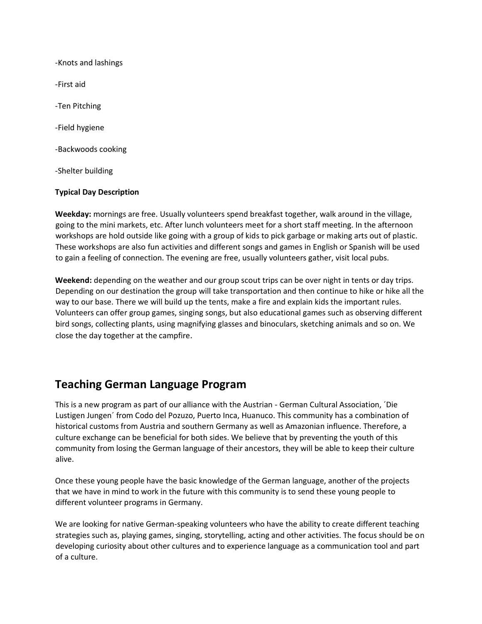-Knots and lashings -First aid -Ten Pitching -Field hygiene -Backwoods cooking -Shelter building

### **Typical Day Description**

**Weekday:** mornings are free. Usually volunteers spend breakfast together, walk around in the village, going to the mini markets, etc. After lunch volunteers meet for a short staff meeting. In the afternoon workshops are hold outside like going with a group of kids to pick garbage or making arts out of plastic. These workshops are also fun activities and different songs and games in English or Spanish will be used to gain a feeling of connection. The evening are free, usually volunteers gather, visit local pubs.

**Weekend:** depending on the weather and our group scout trips can be over night in tents or day trips. Depending on our destination the group will take transportation and then continue to hike or hike all the way to our base. There we will build up the tents, make a fire and explain kids the important rules. Volunteers can offer group games, singing songs, but also educational games such as observing different bird songs, collecting plants, using magnifying glasses and binoculars, sketching animals and so on. We close the day together at the campfire.

## **Teaching German Language Program**

This is a new program as part of our alliance with the Austrian - German Cultural Association, ´Die Lustigen Jungen´ from Codo del Pozuzo, Puerto Inca, Huanuco. This community has a combination of historical customs from Austria and southern Germany as well as Amazonian influence. Therefore, a culture exchange can be beneficial for both sides. We believe that by preventing the youth of this community from losing the German language of their ancestors, they will be able to keep their culture alive.

Once these young people have the basic knowledge of the German language, another of the projects that we have in mind to work in the future with this community is to send these young people to different volunteer programs in Germany.

We are looking for native German-speaking volunteers who have the ability to create different teaching strategies such as, playing games, singing, storytelling, acting and other activities. The focus should be on developing curiosity about other cultures and to experience language as a communication tool and part of a culture.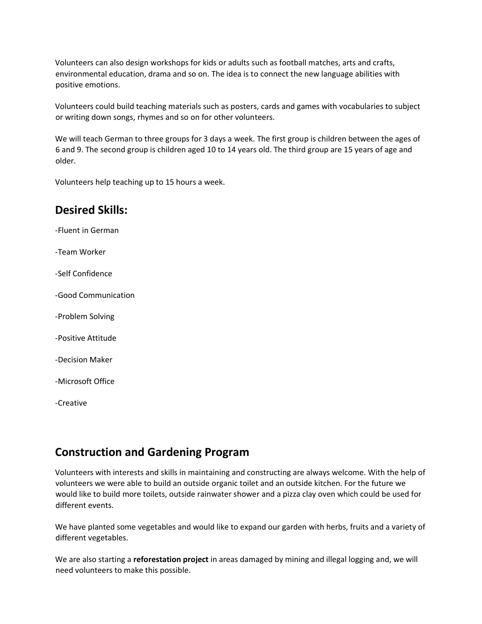Volunteers can also design workshops for kids or adults such as football matches, arts and crafts, environmental education, drama and so on. The idea is to connect the new language abilities with positive emotions.

Volunteers could build teaching materials such as posters, cards and games with vocabularies to subject or writing down songs, rhymes and so on for other volunteers.

We will teach German to three groups for 3 days a week. The first group is children between the ages of 6 and 9. The second group is children aged 10 to 14 years old. The third group are 15 years of age and older.

Volunteers help teaching up to 15 hours a week.

### **Desired Skills:**

-Fluent in German

-Team Worker

-Self Confidence

-Good Communication

-Problem Solving

-Positive Attitude

-Decision Maker

-Microsoft Office

-Creative

## **Construction and Gardening Program**

Volunteers with interests and skills in maintaining and constructing are always welcome. With the help of volunteers we were able to build an outside organic toilet and an outside kitchen. For the future we would like to build more toilets, outside rainwater shower and a pizza clay oven which could be used for different events.

We have planted some vegetables and would like to expand our garden with herbs, fruits and a variety of different vegetables.

We are also starting a **reforestation project** in areas damaged by mining and illegal logging and, we will need volunteers to make this possible.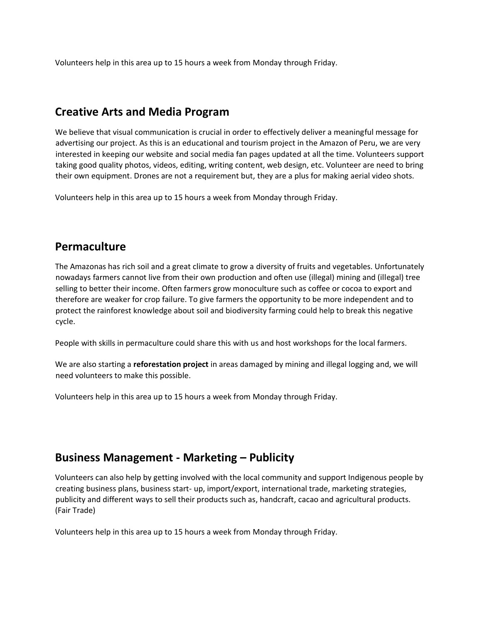Volunteers help in this area up to 15 hours a week from Monday through Friday.

# **Creative Arts and Media Program**

We believe that visual communication is crucial in order to effectively deliver a meaningful message for advertising our project. As this is an educational and tourism project in the Amazon of Peru, we are very interested in keeping our website and social media fan pages updated at all the time. Volunteers support taking good quality photos, videos, editing, writing content, web design, etc. Volunteer are need to bring their own equipment. Drones are not a requirement but, they are a plus for making aerial video shots.

Volunteers help in this area up to 15 hours a week from Monday through Friday.

## **Permaculture**

The Amazonas has rich soil and a great climate to grow a diversity of fruits and vegetables. Unfortunately nowadays farmers cannot live from their own production and often use (illegal) mining and (illegal) tree selling to better their income. Often farmers grow monoculture such as coffee or cocoa to export and therefore are weaker for crop failure. To give farmers the opportunity to be more independent and to protect the rainforest knowledge about soil and biodiversity farming could help to break this negative cycle.

People with skills in permaculture could share this with us and host workshops for the local farmers.

We are also starting a **reforestation project** in areas damaged by mining and illegal logging and, we will need volunteers to make this possible.

Volunteers help in this area up to 15 hours a week from Monday through Friday.

# **Business Management - Marketing – Publicity**

Volunteers can also help by getting involved with the local community and support Indigenous people by creating business plans, business start- up, import/export, international trade, marketing strategies, publicity and different ways to sell their products such as, handcraft, cacao and agricultural products. (Fair Trade)

Volunteers help in this area up to 15 hours a week from Monday through Friday.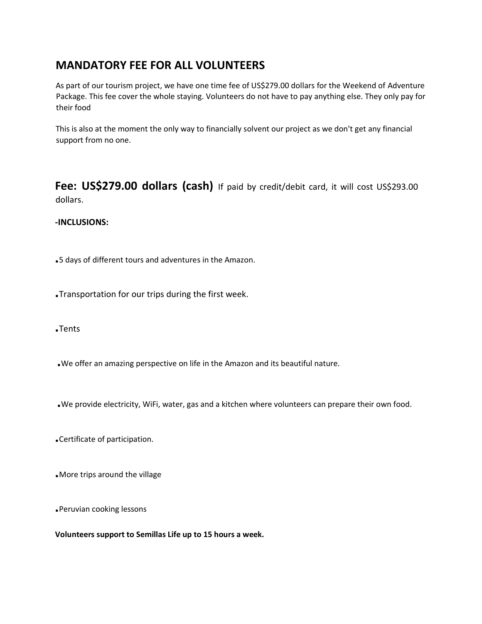# **MANDATORY FEE FOR ALL VOLUNTEERS**

As part of our tourism project, we have one time fee of US\$279.00 dollars for the Weekend of Adventure Package. This fee cover the whole staying. Volunteers do not have to pay anything else. They only pay for their food

This is also at the moment the only way to financially solvent our project as we don't get any financial support from no one.

Fee: US\$279.00 dollars (cash) If paid by credit/debit card, it will cost US\$293.00 dollars.

### **-INCLUSIONS:**

**.**5 days of different tours and adventures in the Amazon.

**.**Transportation for our trips during the first week.

**.**Tents

- **.**We offer an amazing perspective on life in the Amazon and its beautiful nature.
- **.**We provide electricity, WiFi, water, gas and a kitchen where volunteers can prepare their own food.
- **.**Certificate of participation.
- **.**More trips around the village
- **.**Peruvian cooking lessons

**Volunteers support to Semillas Life up to 15 hours a week.**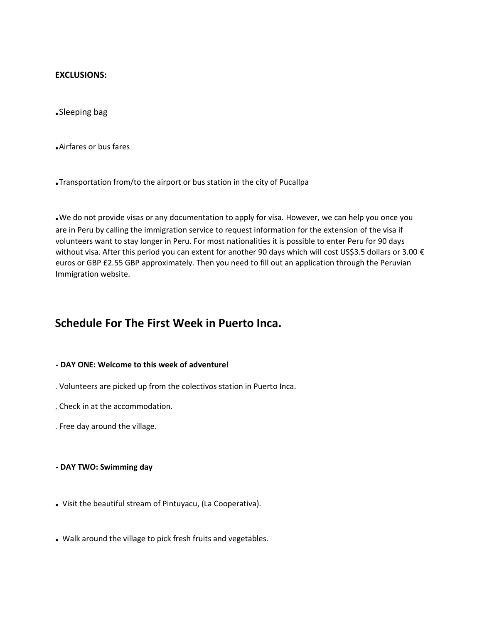### **EXCLUSIONS:**

**.**Sleeping bag

**.**Airfares or bus fares

**.**Transportation from/to the airport or bus station in the city of Pucallpa

**.**We do not provide visas or any documentation to apply for visa. However, we can help you once you are in Peru by calling the immigration service to request information for the extension of the visa if volunteers want to stay longer in Peru. For most nationalities it is possible to enter Peru for 90 days without visa. After this period you can extent for another 90 days which will cost US\$3.5 dollars or 3.00 € euros or GBP £2.55 GBP approximately. Then you need to fill out an application through the Peruvian Immigration website.

### **Schedule For The First Week in Puerto Inca.**

#### **- DAY ONE: Welcome to this week of adventure!**

- . Volunteers are picked up from the colectivos station in Puerto Inca.
- . Check in at the accommodation.
- . Free day around the village.
- **- DAY TWO: Swimming day**
- **.** Visit the beautiful stream of Pintuyacu, (La Cooperativa).
- **.** Walk around the village to pick fresh fruits and vegetables.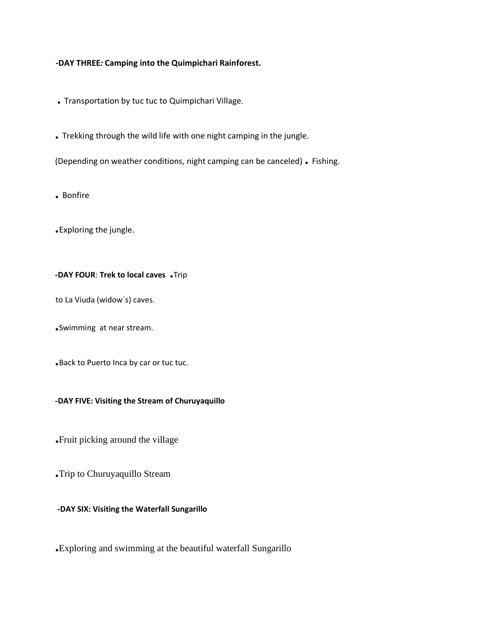### **-DAY THREE***:* **Camping into the Quimpichari Rainforest.**

- **.** Transportation by tuc tuc to Quimpichari Village.
- **.** Trekking through the wild life with one night camping in the jungle.

(Depending on weather conditions, night camping can be canceled) **.** Fishing.

**.** Bonfire

**.**Exploring the jungle.

### **-DAY FOUR**: **Trek to local caves .**Trip

to La Viuda (widowˈs) caves.

**.**Swimming at near stream.

**.**Back to Puerto Inca by car or tuc tuc.

### **-DAY FIVE: Visiting the Stream of Churuyaquillo**

**.**Fruit picking around the village

**.**Trip to Churuyaquillo Stream

### **-DAY SIX: Visiting the Waterfall Sungarillo**

**.**Exploring and swimming at the beautiful waterfall Sungarillo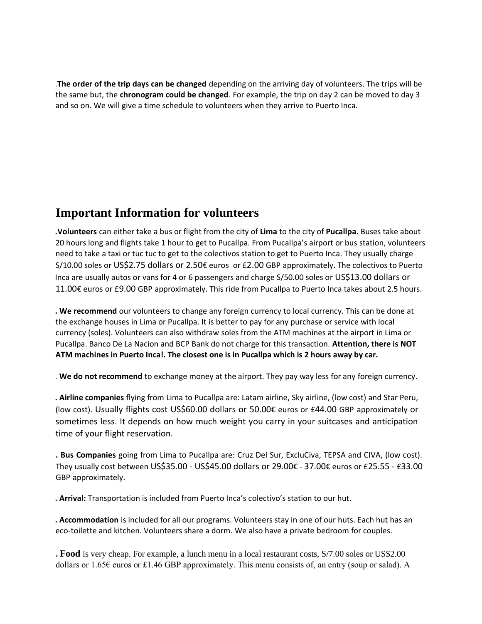.**The order of the trip days can be changed** depending on the arriving day of volunteers. The trips will be the same but, the **chronogram could be changed**. For example, the trip on day 2 can be moved to day 3 and so on. We will give a time schedule to volunteers when they arrive to Puerto Inca.

## **Important Information for volunteers**

**.Volunteers** can either take a bus or flight from the city of **Lima** to the city of **Pucallpa.** Buses take about 20 hours long and flights take 1 hour to get to Pucallpa. From Pucallpa's airport or bus station, volunteers need to take a taxi or tuc tuc to get to the colectivos station to get to Puerto Inca. They usually charge S/10.00 soles or US\$2.75 dollars or 2.50€ euros or £2.00 GBP approximately. The colectivos to Puerto Inca are usually autos or vans for 4 or 6 passengers and charge S/50.00 soles or US\$13.00 dollars or 11.00€ euros or £9.00 GBP approximately. This ride from Pucallpa to Puerto Inca takes about 2.5 hours.

**. We recommend** our volunteers to change any foreign currency to local currency. This can be done at the exchange houses in Lima or Pucallpa. It is better to pay for any purchase or service with local currency (soles). Volunteers can also withdraw soles from the ATM machines at the airport in Lima or Pucallpa. Banco De La Nacion and BCP Bank do not charge for this transaction. **Attention, there is NOT ATM machines in Puerto Inca!. The closest one is in Pucallpa which is 2 hours away by car.** 

. **We do not recommend** to exchange money at the airport. They pay way less for any foreign currency.

**. Airline companies** flying from Lima to Pucallpa are: Latam airline, Sky airline, (low cost) and Star Peru, (low cost). Usually flights cost US\$60.00 dollars or 50.00€ euros or £44.00 GBP approximately or sometimes less. It depends on how much weight you carry in your suitcases and anticipation time of your flight reservation.

**. Bus Companies** going from Lima to Pucallpa are: Cruz Del Sur, ExcluCiva, TEPSA and CIVA, (low cost). They usually cost between US\$35.00 - US\$45.00 dollars or 29.00€ - 37.00€ euros or £25.55 - £33.00 GBP approximately.

**. Arrival:** Transportation is included from Puerto Inca's colectivo's station to our hut.

**. Accommodation** is included for all our programs. Volunteers stay in one of our huts. Each hut has an eco-toilette and kitchen. Volunteers share a dorm. We also have a private bedroom for couples.

**. Food** is very cheap. For example, a lunch menu in a local restaurant costs, S/7.00 soles or US\$2.00 dollars or 1.65€ euros or £1.46 GBP approximately. This menu consists of, an entry (soup or salad). A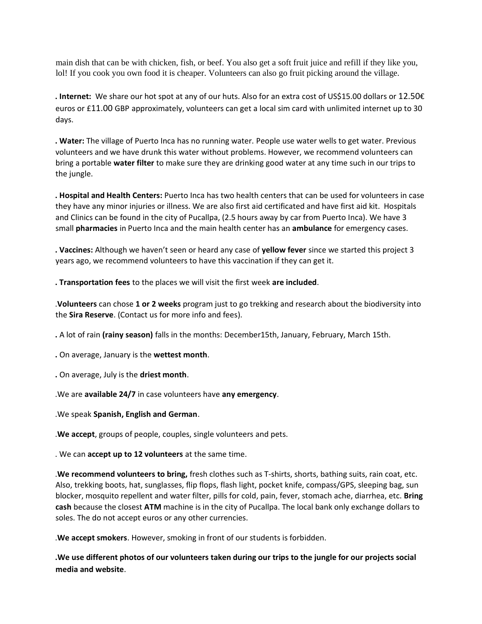main dish that can be with chicken, fish, or beef. You also get a soft fruit juice and refill if they like you, lol! If you cook you own food it is cheaper. Volunteers can also go fruit picking around the village.

**. Internet:** We share our hot spot at any of our huts. Also for an extra cost of US\$15.00 dollars or 12.50€ euros or £11.00 GBP approximately, volunteers can get a local sim card with unlimited internet up to 30 days.

**. Water:** The village of Puerto Inca has no running water. People use water wells to get water. Previous volunteers and we have drunk this water without problems. However, we recommend volunteers can bring a portable **water filter** to make sure they are drinking good water at any time such in our trips to the jungle.

**. Hospital and Health Centers:** Puerto Inca has two health centers that can be used for volunteers in case they have any minor injuries or illness. We are also first aid certificated and have first aid kit. Hospitals and Clinics can be found in the city of Pucallpa, (2.5 hours away by car from Puerto Inca). We have 3 small **pharmacies** in Puerto Inca and the main health center has an **ambulance** for emergency cases.

**. Vaccines:** Although we haven't seen or heard any case of **yellow fever** since we started this project 3 years ago, we recommend volunteers to have this vaccination if they can get it.

**. Transportation fees** to the places we will visit the first week **are included**.

.**Volunteers** can chose **1 or 2 weeks** program just to go trekking and research about the biodiversity into the **Sira Reserve**. (Contact us for more info and fees).

**.** A lot of rain **(rainy season)** falls in the months: December15th, January, February, March 15th.

**.** On average, January is the **wettest month**.

**.** On average, July is the **driest month**.

.We are **available 24/7** in case volunteers have **any emergency**.

.We speak **Spanish, English and German**.

.**We accept**, groups of people, couples, single volunteers and pets.

. We can **accept up to 12 volunteers** at the same time.

.**We recommend volunteers to bring,** fresh clothes such as T-shirts, shorts, bathing suits, rain coat, etc. Also, trekking boots, hat, sunglasses, flip flops, flash light, pocket knife, compass/GPS, sleeping bag, sun blocker, mosquito repellent and water filter, pills for cold, pain, fever, stomach ache, diarrhea, etc. **Bring cash** because the closest **ATM** machine is in the city of Pucallpa. The local bank only exchange dollars to soles. The do not accept euros or any other currencies.

.**We accept smokers**. However, smoking in front of our students is forbidden.

**.We use different photos of our volunteers taken during our trips to the jungle for our projects social media and website**.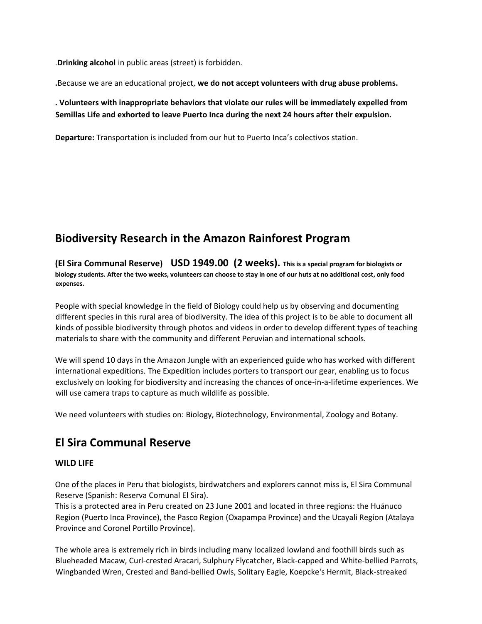.**Drinking alcohol** in public areas (street) is forbidden.

**.**Because we are an educational project, **we do not accept volunteers with drug abuse problems.** 

### **. Volunteers with inappropriate behaviors that violate our rules will be immediately expelled from Semillas Life and exhorted to leave Puerto Inca during the next 24 hours after their expulsion.**

**Departure:** Transportation is included from our hut to Puerto Inca's colectivos station.

# **Biodiversity Research in the Amazon Rainforest Program**

**(El Sira Communal Reserve) USD 1949.00 (2 weeks). This is a special program for biologists or biology students. After the two weeks, volunteers can choose to stay in one of our huts at no additional cost, only food expenses.**

People with special knowledge in the field of Biology could help us by observing and documenting different species in this rural area of biodiversity. The idea of this project is to be able to document all kinds of possible biodiversity through photos and videos in order to develop different types of teaching materials to share with the community and different Peruvian and international schools.

We will spend 10 days in the Amazon Jungle with an experienced guide who has worked with different international expeditions. The Expedition includes porters to transport our gear, enabling us to focus exclusively on looking for biodiversity and increasing the chances of once-in-a-lifetime experiences. We will use camera traps to capture as much wildlife as possible.

We need volunteers with studies on: Biology, Biotechnology, Environmental, Zoology and Botany.

# **El Sira Communal Reserve**

### **WILD LIFE**

One of the places in Peru that biologists, birdwatchers and explorers cannot miss is, El Sira Communal Reserve (Spanish: Reserva Comunal El Sira).

This is a protected area in Peru created on 23 June 2001 and located in three regions: the Huánuco Region (Puerto Inca Province), the Pasco Region (Oxapampa Province) and the Ucayali Region (Atalaya Province and Coronel Portillo Province).

The whole area is extremely rich in birds including many localized lowland and foothill birds such as Blueheaded Macaw, Curl-crested Aracari, Sulphury Flycatcher, Black-capped and White-bellied Parrots, Wingbanded Wren, Crested and Band-bellied Owls, Solitary Eagle, Koepcke's Hermit, Black-streaked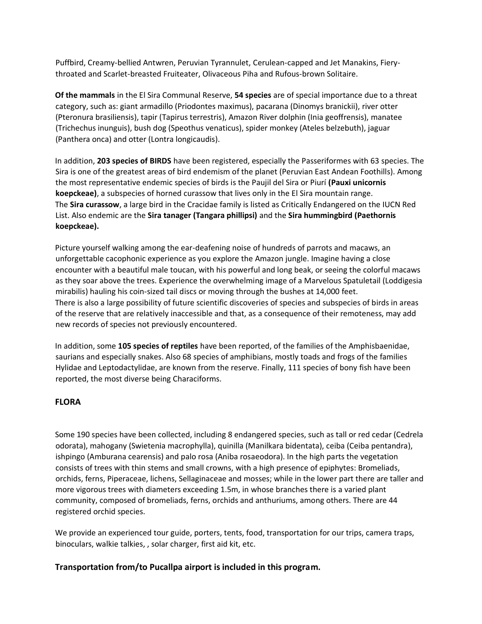Puffbird, Creamy-bellied Antwren, Peruvian Tyrannulet, Cerulean-capped and Jet Manakins, Fierythroated and Scarlet-breasted Fruiteater, Olivaceous Piha and Rufous-brown Solitaire.

**Of the mammals** in the El Sira Communal Reserve, **54 species** are of special importance due to a threat category, such as: giant armadillo (Priodontes maximus), pacarana (Dinomys branickii), river otter (Pteronura brasiliensis), tapir (Tapirus terrestris), Amazon River dolphin (Inia geoffrensis), manatee (Trichechus inunguis), bush dog (Speothus venaticus), spider monkey (Ateles belzebuth), jaguar (Panthera onca) and otter (Lontra longicaudis).

In addition, **203 species of BIRDS** have been registered, especially the Passeriformes with 63 species. The Sira is one of the greatest areas of bird endemism of the planet (Peruvian East Andean Foothills). Among the most representative endemic species of birds is the Paujil del Sira or Piurí **(Pauxi unicornis koepckeae)**, a subspecies of horned curassow that lives only in the El Sira mountain range. The **Sira curassow**, a large bird in the Cracidae family is listed as Critically Endangered on the IUCN Red List. Also endemic are the **Sira tanager (Tangara phillipsi)** and the **Sira hummingbird (Paethornis koepckeae).**

Picture yourself walking among the ear-deafening noise of hundreds of parrots and macaws, an unforgettable cacophonic experience as you explore the Amazon jungle. Imagine having a close encounter with a beautiful male toucan, with his powerful and long beak, or seeing the colorful macaws as they soar above the trees. Experience the overwhelming image of a Marvelous Spatuletail (Loddigesia mirabilis) hauling his coin-sized tail discs or moving through the bushes at 14,000 feet. There is also a large possibility of future scientific discoveries of species and subspecies of birds in areas of the reserve that are relatively inaccessible and that, as a consequence of their remoteness, may add new records of species not previously encountered.

In addition, some **105 species of reptiles** have been reported, of the families of the Amphisbaenidae, saurians and especially snakes. Also 68 species of amphibians, mostly toads and frogs of the families Hylidae and Leptodactylidae, are known from the reserve. Finally, 111 species of bony fish have been reported, the most diverse being Characiforms.

### **FLORA**

Some 190 species have been collected, including 8 endangered species, such as tall or red cedar (Cedrela odorata), mahogany (Swietenia macrophylla), quinilla (Manilkara bidentata), ceiba (Ceiba pentandra), ishpingo (Amburana cearensis) and palo rosa (Aniba rosaeodora). In the high parts the vegetation consists of trees with thin stems and small crowns, with a high presence of epiphytes: Bromeliads, orchids, ferns, Piperaceae, lichens, Sellaginaceae and mosses; while in the lower part there are taller and more vigorous trees with diameters exceeding 1.5m, in whose branches there is a varied plant community, composed of bromeliads, ferns, orchids and anthuriums, among others. There are 44 registered orchid species.

We provide an experienced tour guide, porters, tents, food, transportation for our trips, camera traps, binoculars, walkie talkies, , solar charger, first aid kit, etc.

### **Transportation from/to Pucallpa airport is included in this program.**